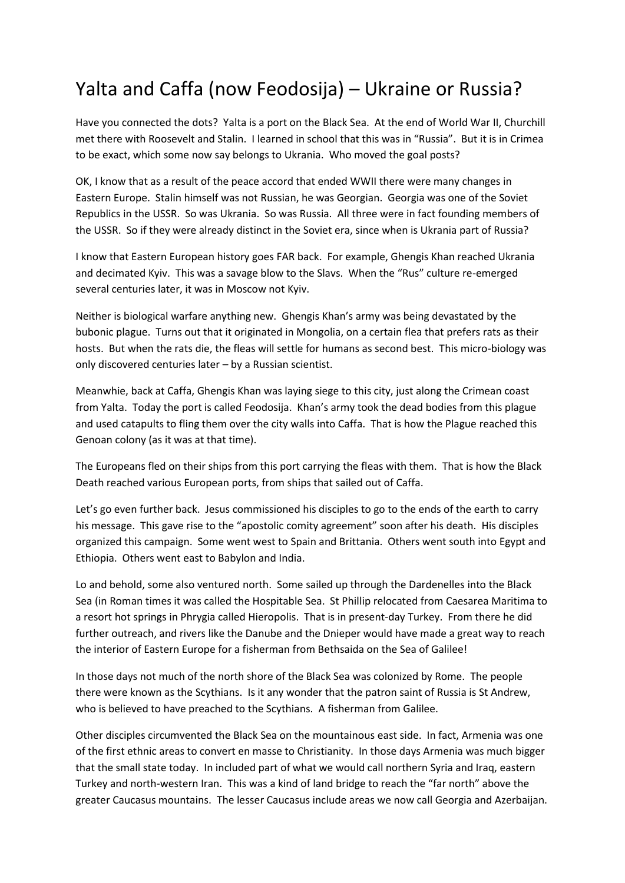## Yalta and Caffa (now Feodosija) – Ukraine or Russia?

Have you connected the dots? Yalta is a port on the Black Sea. At the end of World War II, Churchill met there with Roosevelt and Stalin. I learned in school that this was in "Russia". But it is in Crimea to be exact, which some now say belongs to Ukrania. Who moved the goal posts?

OK, I know that as a result of the peace accord that ended WWII there were many changes in Eastern Europe. Stalin himself was not Russian, he was Georgian. Georgia was one of the Soviet Republics in the USSR. So was Ukrania. So was Russia. All three were in fact founding members of the USSR. So if they were already distinct in the Soviet era, since when is Ukrania part of Russia?

I know that Eastern European history goes FAR back. For example, Ghengis Khan reached Ukrania and decimated Kyiv. This was a savage blow to the Slavs. When the "Rus" culture re-emerged several centuries later, it was in Moscow not Kyiv.

Neither is biological warfare anything new. Ghengis Khan's army was being devastated by the bubonic plague. Turns out that it originated in Mongolia, on a certain flea that prefers rats as their hosts. But when the rats die, the fleas will settle for humans as second best. This micro-biology was only discovered centuries later – by a Russian scientist.

Meanwhie, back at Caffa, Ghengis Khan was laying siege to this city, just along the Crimean coast from Yalta. Today the port is called Feodosija. Khan's army took the dead bodies from this plague and used catapults to fling them over the city walls into Caffa. That is how the Plague reached this Genoan colony (as it was at that time).

The Europeans fled on their ships from this port carrying the fleas with them. That is how the Black Death reached various European ports, from ships that sailed out of Caffa.

Let's go even further back. Jesus commissioned his disciples to go to the ends of the earth to carry his message. This gave rise to the "apostolic comity agreement" soon after his death. His disciples organized this campaign. Some went west to Spain and Brittania. Others went south into Egypt and Ethiopia. Others went east to Babylon and India.

Lo and behold, some also ventured north. Some sailed up through the Dardenelles into the Black Sea (in Roman times it was called the Hospitable Sea. St Phillip relocated from Caesarea Maritima to a resort hot springs in Phrygia called Hieropolis. That is in present-day Turkey. From there he did further outreach, and rivers like the Danube and the Dnieper would have made a great way to reach the interior of Eastern Europe for a fisherman from Bethsaida on the Sea of Galilee!

In those days not much of the north shore of the Black Sea was colonized by Rome. The people there were known as the Scythians. Is it any wonder that the patron saint of Russia is St Andrew, who is believed to have preached to the Scythians. A fisherman from Galilee.

Other disciples circumvented the Black Sea on the mountainous east side. In fact, Armenia was one of the first ethnic areas to convert en masse to Christianity. In those days Armenia was much bigger that the small state today. In included part of what we would call northern Syria and Iraq, eastern Turkey and north-western Iran. This was a kind of land bridge to reach the "far north" above the greater Caucasus mountains. The lesser Caucasus include areas we now call Georgia and Azerbaijan.